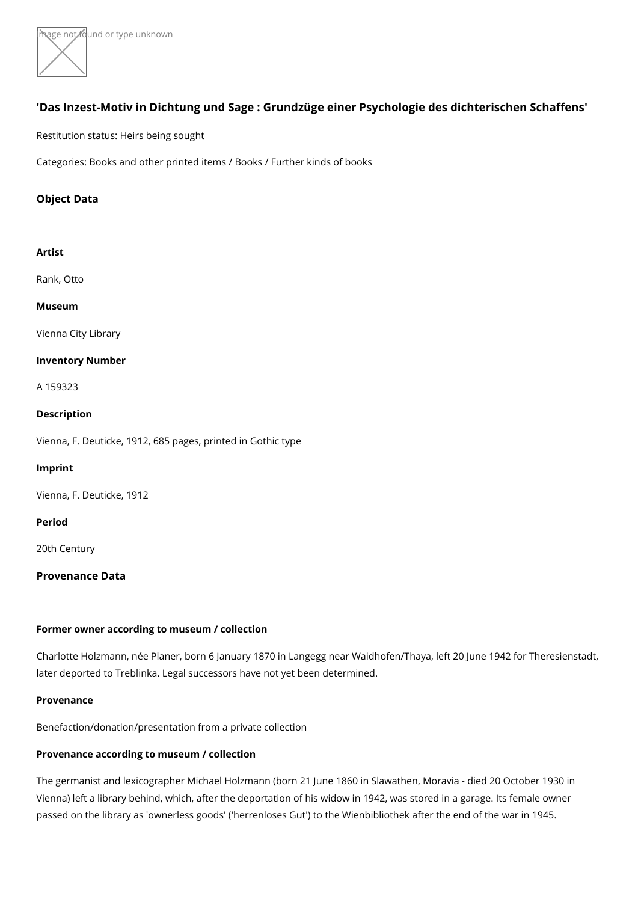${ \sf w}$ age  $\bigwedge {\sf b}$ t found or type unknown

# 'Das Inzest-Motiv in Dichtung und Sage : Grundzüge einer Psychologie des Restitution status: Heirs being sought Categories: Books and other printed items / Books / Further kinds of books

Object Data

Artist [Rank, O](https://www.kunstdatenbank.at/search-for-objects/artist/rank  otto)tto Museum [Vienna City](https://www.kunstdatenbank.at//detail-view-museum/vienna-city-library.html) Library Inventory Number A 159323 Description Vienna, F. Deuticke, 1912, 685 pages, printed in Gothic type Imprint Vienna, F. Deuticke, 1912 Period 20th Century Provenance Data

Former owner according to museum / collection

Charlotte Holzmann, née Planer, born 6 January 1870 in Langegg near Waidhofen/Thaya later deported to Treblinka. Legal successors have not yet been determined.

Provenance

Benefaction/donation/presentation from a private collection

Provenance according to museum / collection

The germanist and lexicographer Michael Holzmann (born 21 June 1860 in Slawathen, N Vienna) left a library behind, which, after the deportation of his widow in 1942, was st passed on the library as 'ownerless goods' ('herrenloses Gut') to the Wienbibliothek af